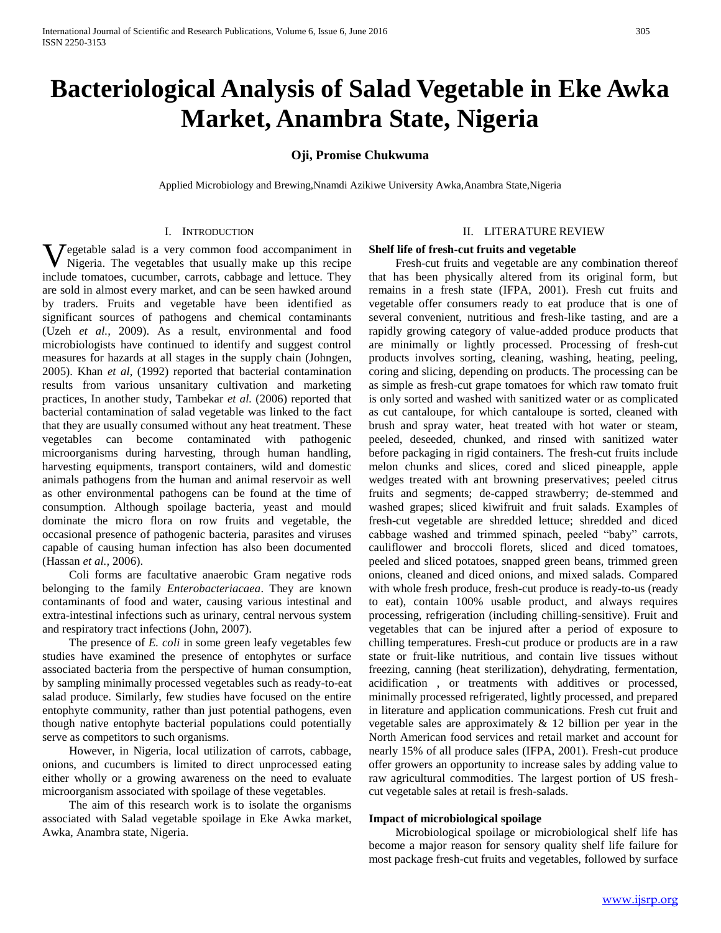# **Bacteriological Analysis of Salad Vegetable in Eke Awka Market, Anambra State, Nigeria**

# **Oji, Promise Chukwuma**

Applied Microbiology and Brewing,Nnamdi Azikiwe University Awka,Anambra State,Nigeria

## I. INTRODUCTION

**V** egetable salad is a very common food accompaniment in Nigeria. The vegetables that usually make up this recipe  $\blacktriangledown$  Nigeria. The vegetables that usually make up this recipe include tomatoes, cucumber, carrots, cabbage and lettuce. They are sold in almost every market, and can be seen hawked around by traders. Fruits and vegetable have been identified as significant sources of pathogens and chemical contaminants (Uzeh *et al.,* 2009). As a result, environmental and food microbiologists have continued to identify and suggest control measures for hazards at all stages in the supply chain (Johngen, 2005). Khan *et al,* (1992) reported that bacterial contamination results from various unsanitary cultivation and marketing practices, In another study, Tambekar *et al.* (2006) reported that bacterial contamination of salad vegetable was linked to the fact that they are usually consumed without any heat treatment. These vegetables can become contaminated with pathogenic microorganisms during harvesting, through human handling, harvesting equipments, transport containers, wild and domestic animals pathogens from the human and animal reservoir as well as other environmental pathogens can be found at the time of consumption. Although spoilage bacteria, yeast and mould dominate the micro flora on row fruits and vegetable, the occasional presence of pathogenic bacteria, parasites and viruses capable of causing human infection has also been documented (Hassan *et al.,* 2006).

 Coli forms are facultative anaerobic Gram negative rods belonging to the family *Enterobacteriacaea*. They are known contaminants of food and water, causing various intestinal and extra-intestinal infections such as urinary, central nervous system and respiratory tract infections (John, 2007).

 The presence of *E. coli* in some green leafy vegetables few studies have examined the presence of entophytes or surface associated bacteria from the perspective of human consumption, by sampling minimally processed vegetables such as ready-to-eat salad produce. Similarly, few studies have focused on the entire entophyte community, rather than just potential pathogens, even though native entophyte bacterial populations could potentially serve as competitors to such organisms.

 However, in Nigeria, local utilization of carrots, cabbage, onions, and cucumbers is limited to direct unprocessed eating either wholly or a growing awareness on the need to evaluate microorganism associated with spoilage of these vegetables.

 The aim of this research work is to isolate the organisms associated with Salad vegetable spoilage in Eke Awka market, Awka, Anambra state, Nigeria.

#### II. LITERATURE REVIEW

#### **Shelf life of fresh-cut fruits and vegetable**

 Fresh-cut fruits and vegetable are any combination thereof that has been physically altered from its original form, but remains in a fresh state (IFPA, 2001). Fresh cut fruits and vegetable offer consumers ready to eat produce that is one of several convenient, nutritious and fresh-like tasting, and are a rapidly growing category of value-added produce products that are minimally or lightly processed. Processing of fresh-cut products involves sorting, cleaning, washing, heating, peeling, coring and slicing, depending on products. The processing can be as simple as fresh-cut grape tomatoes for which raw tomato fruit is only sorted and washed with sanitized water or as complicated as cut cantaloupe, for which cantaloupe is sorted, cleaned with brush and spray water, heat treated with hot water or steam, peeled, deseeded, chunked, and rinsed with sanitized water before packaging in rigid containers. The fresh-cut fruits include melon chunks and slices, cored and sliced pineapple, apple wedges treated with ant browning preservatives; peeled citrus fruits and segments; de-capped strawberry; de-stemmed and washed grapes; sliced kiwifruit and fruit salads. Examples of fresh-cut vegetable are shredded lettuce; shredded and diced cabbage washed and trimmed spinach, peeled "baby" carrots, cauliflower and broccoli florets, sliced and diced tomatoes, peeled and sliced potatoes, snapped green beans, trimmed green onions, cleaned and diced onions, and mixed salads. Compared with whole fresh produce, fresh-cut produce is ready-to-us (ready to eat), contain 100% usable product, and always requires processing, refrigeration (including chilling-sensitive). Fruit and vegetables that can be injured after a period of exposure to chilling temperatures. Fresh-cut produce or products are in a raw state or fruit-like nutritious, and contain live tissues without freezing, canning (heat sterilization), dehydrating, fermentation, acidification , or treatments with additives or processed, minimally processed refrigerated, lightly processed, and prepared in literature and application communications. Fresh cut fruit and vegetable sales are approximately  $\&$  12 billion per year in the North American food services and retail market and account for nearly 15% of all produce sales (IFPA, 2001). Fresh-cut produce offer growers an opportunity to increase sales by adding value to raw agricultural commodities. The largest portion of US freshcut vegetable sales at retail is fresh-salads.

## **Impact of microbiological spoilage**

 Microbiological spoilage or microbiological shelf life has become a major reason for sensory quality shelf life failure for most package fresh-cut fruits and vegetables, followed by surface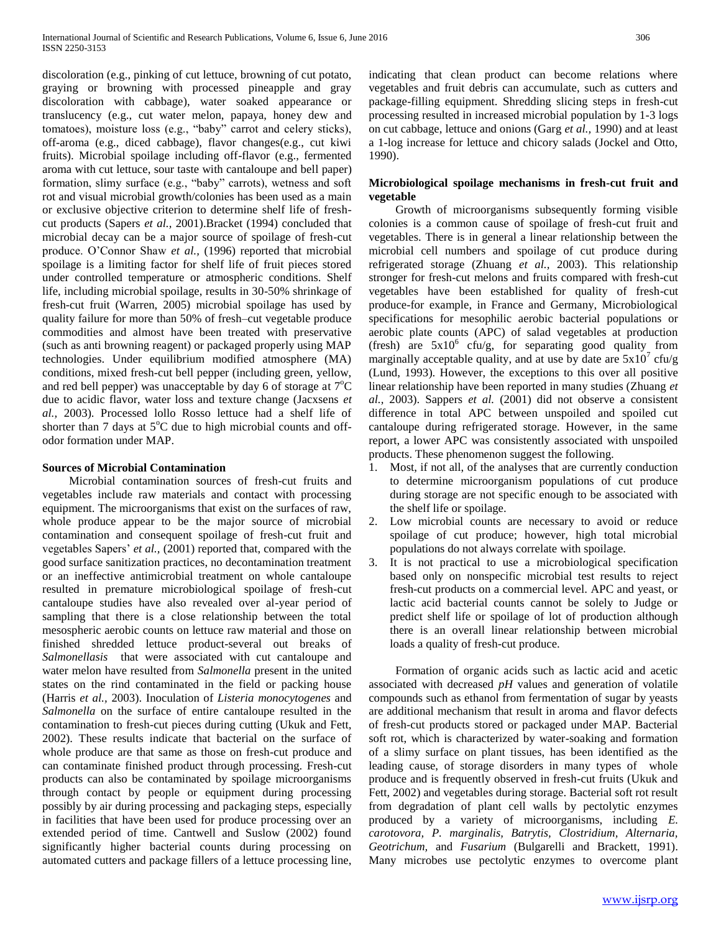discoloration (e.g., pinking of cut lettuce, browning of cut potato, graying or browning with processed pineapple and gray discoloration with cabbage), water soaked appearance or translucency (e.g., cut water melon, papaya, honey dew and tomatoes), moisture loss (e.g., "baby" carrot and celery sticks), off-aroma (e.g., diced cabbage), flavor changes(e.g., cut kiwi fruits). Microbial spoilage including off-flavor (e.g., fermented aroma with cut lettuce, sour taste with cantaloupe and bell paper) formation, slimy surface (e.g., "baby" carrots), wetness and soft rot and visual microbial growth/colonies has been used as a main or exclusive objective criterion to determine shelf life of freshcut products (Sapers *et al.,* 2001).Bracket (1994) concluded that microbial decay can be a major source of spoilage of fresh-cut produce. O'Connor Shaw *et al.,* (1996) reported that microbial spoilage is a limiting factor for shelf life of fruit pieces stored under controlled temperature or atmospheric conditions. Shelf life, including microbial spoilage, results in 30-50% shrinkage of fresh-cut fruit (Warren, 2005) microbial spoilage has used by quality failure for more than 50% of fresh–cut vegetable produce commodities and almost have been treated with preservative (such as anti browning reagent) or packaged properly using MAP technologies. Under equilibrium modified atmosphere (MA) conditions, mixed fresh-cut bell pepper (including green, yellow, and red bell pepper) was unacceptable by day 6 of storage at  $7^{\circ}$ C due to acidic flavor, water loss and texture change (Jacxsens *et al.,* 2003). Processed lollo Rosso lettuce had a shelf life of shorter than 7 days at  $5^{\circ}$ C due to high microbial counts and offodor formation under MAP.

# **Sources of Microbial Contamination**

 Microbial contamination sources of fresh-cut fruits and vegetables include raw materials and contact with processing equipment. The microorganisms that exist on the surfaces of raw, whole produce appear to be the major source of microbial contamination and consequent spoilage of fresh-cut fruit and vegetables Sapers' *et al.,* (2001) reported that, compared with the good surface sanitization practices, no decontamination treatment or an ineffective antimicrobial treatment on whole cantaloupe resulted in premature microbiological spoilage of fresh-cut cantaloupe studies have also revealed over al-year period of sampling that there is a close relationship between the total mesospheric aerobic counts on lettuce raw material and those on finished shredded lettuce product-several out breaks of *Salmonellasis* that were associated with cut cantaloupe and water melon have resulted from *Salmonella* present in the united states on the rind contaminated in the field or packing house (Harris *et al.,* 2003). Inoculation of *Listeria monocytogenes* and *Salmonella* on the surface of entire cantaloupe resulted in the contamination to fresh-cut pieces during cutting (Ukuk and Fett, 2002). These results indicate that bacterial on the surface of whole produce are that same as those on fresh-cut produce and can contaminate finished product through processing. Fresh-cut products can also be contaminated by spoilage microorganisms through contact by people or equipment during processing possibly by air during processing and packaging steps, especially in facilities that have been used for produce processing over an extended period of time. Cantwell and Suslow (2002) found significantly higher bacterial counts during processing on automated cutters and package fillers of a lettuce processing line, indicating that clean product can become relations where vegetables and fruit debris can accumulate, such as cutters and package-filling equipment. Shredding slicing steps in fresh-cut processing resulted in increased microbial population by 1-3 logs on cut cabbage, lettuce and onions (Garg *et al.,* 1990) and at least a 1-log increase for lettuce and chicory salads (Jockel and Otto, 1990).

# **Microbiological spoilage mechanisms in fresh-cut fruit and vegetable**

 Growth of microorganisms subsequently forming visible colonies is a common cause of spoilage of fresh-cut fruit and vegetables. There is in general a linear relationship between the microbial cell numbers and spoilage of cut produce during refrigerated storage (Zhuang *et al.,* 2003). This relationship stronger for fresh-cut melons and fruits compared with fresh-cut vegetables have been established for quality of fresh-cut produce-for example, in France and Germany, Microbiological specifications for mesophilic aerobic bacterial populations or aerobic plate counts (APC) of salad vegetables at production (fresh) are  $5x10^6$  cfu/g, for separating good quality from marginally acceptable quality, and at use by date are  $5x10^7$  cfu/g (Lund, 1993). However, the exceptions to this over all positive linear relationship have been reported in many studies (Zhuang *et al.,* 2003). Sappers *et al.* (2001) did not observe a consistent difference in total APC between unspoiled and spoiled cut cantaloupe during refrigerated storage. However, in the same report, a lower APC was consistently associated with unspoiled products. These phenomenon suggest the following.

- 1. Most, if not all, of the analyses that are currently conduction to determine microorganism populations of cut produce during storage are not specific enough to be associated with the shelf life or spoilage.
- 2. Low microbial counts are necessary to avoid or reduce spoilage of cut produce; however, high total microbial populations do not always correlate with spoilage.
- 3. It is not practical to use a microbiological specification based only on nonspecific microbial test results to reject fresh-cut products on a commercial level. APC and yeast, or lactic acid bacterial counts cannot be solely to Judge or predict shelf life or spoilage of lot of production although there is an overall linear relationship between microbial loads a quality of fresh-cut produce.

 Formation of organic acids such as lactic acid and acetic associated with decreased *pH* values and generation of volatile compounds such as ethanol from fermentation of sugar by yeasts are additional mechanism that result in aroma and flavor defects of fresh-cut products stored or packaged under MAP. Bacterial soft rot, which is characterized by water-soaking and formation of a slimy surface on plant tissues, has been identified as the leading cause, of storage disorders in many types of whole produce and is frequently observed in fresh-cut fruits (Ukuk and Fett, 2002) and vegetables during storage. Bacterial soft rot result from degradation of plant cell walls by pectolytic enzymes produced by a variety of microorganisms, including *E. carotovora, P. marginalis, Batrytis, Clostridium, Alternaria, Geotrichum,* and *Fusarium* (Bulgarelli and Brackett, 1991). Many microbes use pectolytic enzymes to overcome plant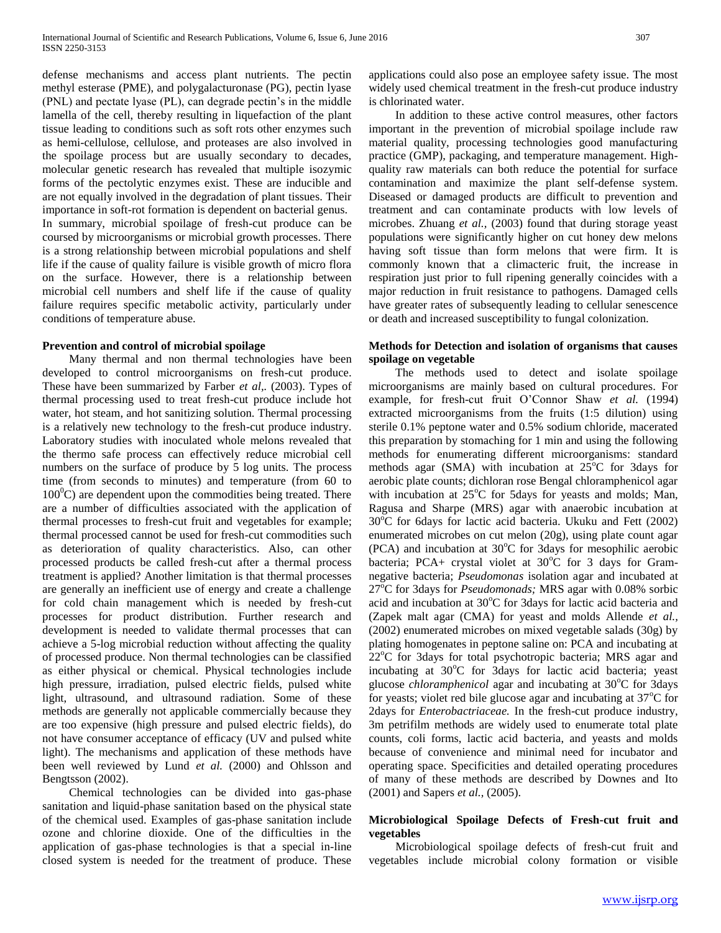defense mechanisms and access plant nutrients. The pectin methyl esterase (PME), and polygalacturonase (PG), pectin lyase (PNL) and pectate lyase (PL), can degrade pectin's in the middle lamella of the cell, thereby resulting in liquefaction of the plant tissue leading to conditions such as soft rots other enzymes such as hemi-cellulose, cellulose, and proteases are also involved in the spoilage process but are usually secondary to decades, molecular genetic research has revealed that multiple isozymic forms of the pectolytic enzymes exist. These are inducible and are not equally involved in the degradation of plant tissues. Their importance in soft-rot formation is dependent on bacterial genus. In summary, microbial spoilage of fresh-cut produce can be coursed by microorganisms or microbial growth processes. There is a strong relationship between microbial populations and shelf life if the cause of quality failure is visible growth of micro flora on the surface. However, there is a relationship between microbial cell numbers and shelf life if the cause of quality failure requires specific metabolic activity, particularly under conditions of temperature abuse.

# **Prevention and control of microbial spoilage**

 Many thermal and non thermal technologies have been developed to control microorganisms on fresh-cut produce. These have been summarized by Farber *et al,.* (2003). Types of thermal processing used to treat fresh-cut produce include hot water, hot steam, and hot sanitizing solution. Thermal processing is a relatively new technology to the fresh-cut produce industry. Laboratory studies with inoculated whole melons revealed that the thermo safe process can effectively reduce microbial cell numbers on the surface of produce by 5 log units. The process time (from seconds to minutes) and temperature (from 60 to  $100^{\circ}$ C) are dependent upon the commodities being treated. There are a number of difficulties associated with the application of thermal processes to fresh-cut fruit and vegetables for example; thermal processed cannot be used for fresh-cut commodities such as deterioration of quality characteristics. Also, can other processed products be called fresh-cut after a thermal process treatment is applied? Another limitation is that thermal processes are generally an inefficient use of energy and create a challenge for cold chain management which is needed by fresh-cut processes for product distribution. Further research and development is needed to validate thermal processes that can achieve a 5-log microbial reduction without affecting the quality of processed produce. Non thermal technologies can be classified as either physical or chemical. Physical technologies include high pressure, irradiation, pulsed electric fields, pulsed white light, ultrasound, and ultrasound radiation. Some of these methods are generally not applicable commercially because they are too expensive (high pressure and pulsed electric fields), do not have consumer acceptance of efficacy (UV and pulsed white light). The mechanisms and application of these methods have been well reviewed by Lund *et al.* (2000) and Ohlsson and Bengtsson (2002).

 Chemical technologies can be divided into gas-phase sanitation and liquid-phase sanitation based on the physical state of the chemical used. Examples of gas-phase sanitation include ozone and chlorine dioxide. One of the difficulties in the application of gas-phase technologies is that a special in-line closed system is needed for the treatment of produce. These

applications could also pose an employee safety issue. The most widely used chemical treatment in the fresh-cut produce industry is chlorinated water.

 In addition to these active control measures, other factors important in the prevention of microbial spoilage include raw material quality, processing technologies good manufacturing practice (GMP), packaging, and temperature management. Highquality raw materials can both reduce the potential for surface contamination and maximize the plant self-defense system. Diseased or damaged products are difficult to prevention and treatment and can contaminate products with low levels of microbes. Zhuang *et al.,* (2003) found that during storage yeast populations were significantly higher on cut honey dew melons having soft tissue than form melons that were firm. It is commonly known that a climacteric fruit, the increase in respiration just prior to full ripening generally coincides with a major reduction in fruit resistance to pathogens. Damaged cells have greater rates of subsequently leading to cellular senescence or death and increased susceptibility to fungal colonization.

# **Methods for Detection and isolation of organisms that causes spoilage on vegetable**

 The methods used to detect and isolate spoilage microorganisms are mainly based on cultural procedures. For example, for fresh-cut fruit O'Connor Shaw *et al.* (1994) extracted microorganisms from the fruits (1:5 dilution) using sterile 0.1% peptone water and 0.5% sodium chloride, macerated this preparation by stomaching for 1 min and using the following methods for enumerating different microorganisms: standard methods agar (SMA) with incubation at  $25^{\circ}$ C for 3days for aerobic plate counts; dichloran rose Bengal chloramphenicol agar with incubation at  $25^{\circ}$ C for 5days for yeasts and molds; Man, Ragusa and Sharpe (MRS) agar with anaerobic incubation at  $30^{\circ}$ C for 6days for lactic acid bacteria. Ukuku and Fett (2002) enumerated microbes on cut melon (20g), using plate count agar (PCA) and incubation at  $30^{\circ}$ C for 3days for mesophilic aerobic bacteria; PCA+ crystal violet at  $30^{\circ}$ C for 3 days for Gramnegative bacteria; *Pseudomonas* isolation agar and incubated at 27°C for 3days for *Pseudomonads*; MRS agar with 0.08% sorbic acid and incubation at  $30^{\circ}$ C for 3days for lactic acid bacteria and (Zapek malt agar (CMA) for yeast and molds Allende *et al.,*  (2002) enumerated microbes on mixed vegetable salads (30g) by plating homogenates in peptone saline on: PCA and incubating at  $22^{\circ}$ C for 3days for total psychotropic bacteria; MRS agar and incubating at  $30^{\circ}$ C for 3days for lactic acid bacteria; yeast glucose *chloramphenicol* agar and incubating at 30<sup>o</sup>C for 3days for yeasts; violet red bile glucose agar and incubating at  $37^{\circ}$ C for 2days for *Enterobactriaceae.* In the fresh-cut produce industry, 3m petrifilm methods are widely used to enumerate total plate counts, coli forms, lactic acid bacteria, and yeasts and molds because of convenience and minimal need for incubator and operating space. Specificities and detailed operating procedures of many of these methods are described by Downes and Ito (2001) and Sapers *et al.,* (2005).

# **Microbiological Spoilage Defects of Fresh-cut fruit and vegetables**

 Microbiological spoilage defects of fresh-cut fruit and vegetables include microbial colony formation or visible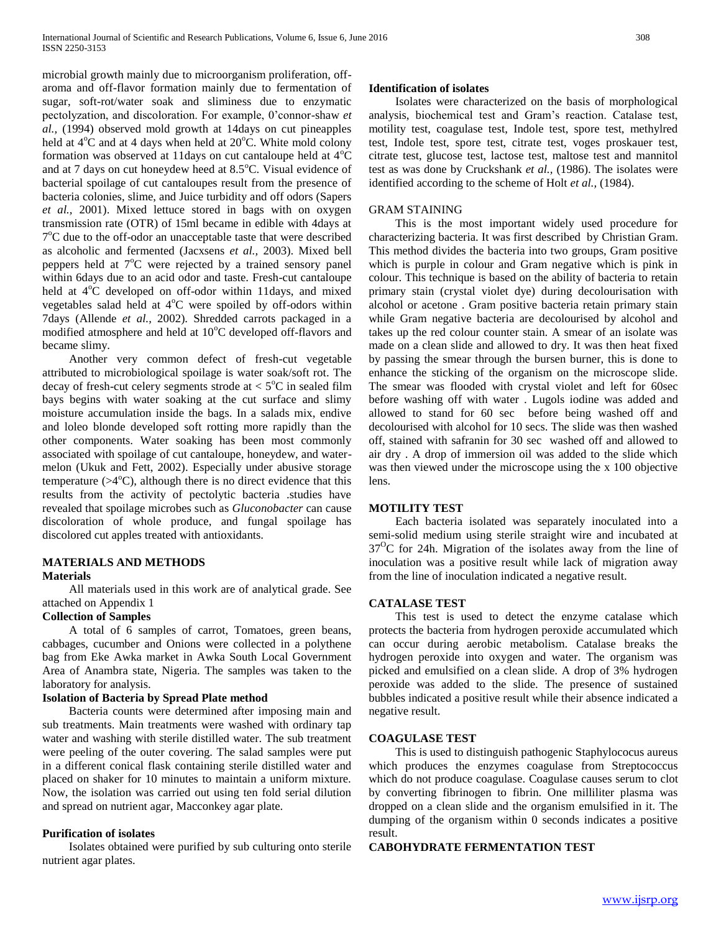microbial growth mainly due to microorganism proliferation, offaroma and off-flavor formation mainly due to fermentation of sugar, soft-rot/water soak and sliminess due to enzymatic pectolyzation, and discoloration. For example, 0'connor-shaw *et al.,* (1994) observed mold growth at 14days on cut pineapples held at  $4^{\circ}$ C and at 4 days when held at  $20^{\circ}$ C. White mold colony formation was observed at 11days on cut cantaloupe held at  $4^{\circ}C$ and at 7 days on cut honeydew heed at  $8.5^{\circ}$ C. Visual evidence of bacterial spoilage of cut cantaloupes result from the presence of bacteria colonies, slime, and Juice turbidity and off odors (Sapers *et al.,* 2001). Mixed lettuce stored in bags with on oxygen transmission rate (OTR) of 15ml became in edible with 4days at 7<sup>o</sup>C due to the off-odor an unacceptable taste that were described as alcoholic and fermented (Jacxsens *et al.,* 2003). Mixed bell peppers held at  $7^{\circ}$ C were rejected by a trained sensory panel within 6days due to an acid odor and taste. Fresh-cut cantaloupe held at 4°C developed on off-odor within 11days, and mixed vegetables salad held at  $4^{\circ}$ C were spoiled by off-odors within 7days (Allende *et al.,* 2002). Shredded carrots packaged in a modified atmosphere and held at  $10^{\circ}$ C developed off-flavors and became slimy.

 Another very common defect of fresh-cut vegetable attributed to microbiological spoilage is water soak/soft rot. The decay of fresh-cut celery segments strode at  $< 5^{\circ}$ C in sealed film bays begins with water soaking at the cut surface and slimy moisture accumulation inside the bags. In a salads mix, endive and loleo blonde developed soft rotting more rapidly than the other components. Water soaking has been most commonly associated with spoilage of cut cantaloupe, honeydew, and watermelon (Ukuk and Fett, 2002). Especially under abusive storage temperature  $(>4^{\circ}C)$ , although there is no direct evidence that this results from the activity of pectolytic bacteria .studies have revealed that spoilage microbes such as *Gluconobacter* can cause discoloration of whole produce, and fungal spoilage has discolored cut apples treated with antioxidants.

# **MATERIALS AND METHODS**

# **Materials**

 All materials used in this work are of analytical grade. See attached on Appendix 1

#### **Collection of Samples**

 A total of 6 samples of carrot, Tomatoes, green beans, cabbages, cucumber and Onions were collected in a polythene bag from Eke Awka market in Awka South Local Government Area of Anambra state, Nigeria. The samples was taken to the laboratory for analysis.

# **Isolation of Bacteria by Spread Plate method**

 Bacteria counts were determined after imposing main and sub treatments. Main treatments were washed with ordinary tap water and washing with sterile distilled water. The sub treatment were peeling of the outer covering. The salad samples were put in a different conical flask containing sterile distilled water and placed on shaker for 10 minutes to maintain a uniform mixture. Now, the isolation was carried out using ten fold serial dilution and spread on nutrient agar, Macconkey agar plate.

# **Purification of isolates**

 Isolates obtained were purified by sub culturing onto sterile nutrient agar plates.

# **Identification of isolates**

 Isolates were characterized on the basis of morphological analysis, biochemical test and Gram's reaction. Catalase test, motility test, coagulase test, Indole test, spore test, methylred test, Indole test, spore test, citrate test, voges proskauer test, citrate test, glucose test, lactose test, maltose test and mannitol test as was done by Cruckshank *et al.,* (1986). The isolates were identified according to the scheme of Holt *et al.,* (1984).

# GRAM STAINING

 This is the most important widely used procedure for characterizing bacteria. It was first described by Christian Gram. This method divides the bacteria into two groups, Gram positive which is purple in colour and Gram negative which is pink in colour. This technique is based on the ability of bacteria to retain primary stain (crystal violet dye) during decolourisation with alcohol or acetone . Gram positive bacteria retain primary stain while Gram negative bacteria are decolourised by alcohol and takes up the red colour counter stain. A smear of an isolate was made on a clean slide and allowed to dry. It was then heat fixed by passing the smear through the bursen burner, this is done to enhance the sticking of the organism on the microscope slide. The smear was flooded with crystal violet and left for 60sec before washing off with water . Lugols iodine was added and allowed to stand for 60 sec before being washed off and decolourised with alcohol for 10 secs. The slide was then washed off, stained with safranin for 30 sec washed off and allowed to air dry . A drop of immersion oil was added to the slide which was then viewed under the microscope using the x 100 objective lens.

# **MOTILITY TEST**

 Each bacteria isolated was separately inoculated into a semi-solid medium using sterile straight wire and incubated at  $37^{\circ}$ C for 24h. Migration of the isolates away from the line of inoculation was a positive result while lack of migration away from the line of inoculation indicated a negative result.

#### **CATALASE TEST**

 This test is used to detect the enzyme catalase which protects the bacteria from hydrogen peroxide accumulated which can occur during aerobic metabolism. Catalase breaks the hydrogen peroxide into oxygen and water. The organism was picked and emulsified on a clean slide. A drop of 3% hydrogen peroxide was added to the slide. The presence of sustained bubbles indicated a positive result while their absence indicated a negative result.

#### **COAGULASE TEST**

 This is used to distinguish pathogenic Staphylococus aureus which produces the enzymes coagulase from Streptococcus which do not produce coagulase. Coagulase causes serum to clot by converting fibrinogen to fibrin. One milliliter plasma was dropped on a clean slide and the organism emulsified in it. The dumping of the organism within 0 seconds indicates a positive result.

#### **CABOHYDRATE FERMENTATION TEST**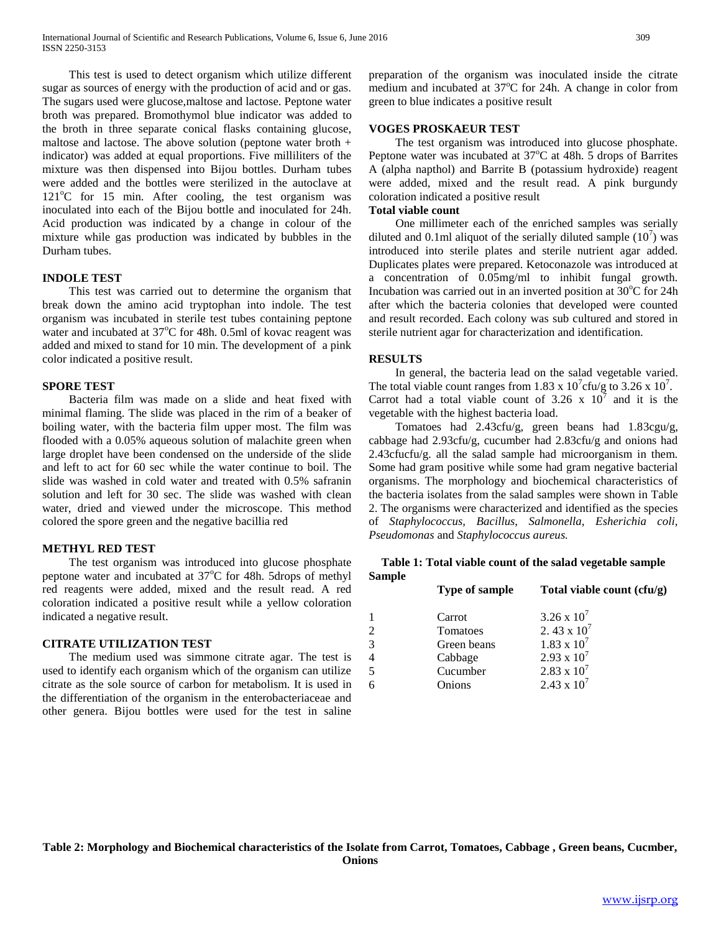This test is used to detect organism which utilize different sugar as sources of energy with the production of acid and or gas. The sugars used were glucose,maltose and lactose. Peptone water broth was prepared. Bromothymol blue indicator was added to the broth in three separate conical flasks containing glucose, maltose and lactose. The above solution (peptone water broth  $+$ indicator) was added at equal proportions. Five milliliters of the mixture was then dispensed into Bijou bottles. Durham tubes were added and the bottles were sterilized in the autoclave at  $121^{\circ}$ C for 15 min. After cooling, the test organism was inoculated into each of the Bijou bottle and inoculated for 24h. Acid production was indicated by a change in colour of the mixture while gas production was indicated by bubbles in the Durham tubes.

# **INDOLE TEST**

 This test was carried out to determine the organism that break down the amino acid tryptophan into indole. The test organism was incubated in sterile test tubes containing peptone water and incubated at  $37^{\circ}$ C for 48h. 0.5ml of kovac reagent was added and mixed to stand for 10 min. The development of a pink color indicated a positive result.

# **SPORE TEST**

 Bacteria film was made on a slide and heat fixed with minimal flaming. The slide was placed in the rim of a beaker of boiling water, with the bacteria film upper most. The film was flooded with a 0.05% aqueous solution of malachite green when large droplet have been condensed on the underside of the slide and left to act for 60 sec while the water continue to boil. The slide was washed in cold water and treated with 0.5% safranin solution and left for 30 sec. The slide was washed with clean water, dried and viewed under the microscope. This method colored the spore green and the negative bacillia red

#### **METHYL RED TEST**

 The test organism was introduced into glucose phosphate peptone water and incubated at  $37^{\circ}$ C for 48h. 5drops of methyl red reagents were added, mixed and the result read. A red coloration indicated a positive result while a yellow coloration indicated a negative result.

# **CITRATE UTILIZATION TEST**

 The medium used was simmone citrate agar. The test is used to identify each organism which of the organism can utilize citrate as the sole source of carbon for metabolism. It is used in the differentiation of the organism in the enterobacteriaceae and other genera. Bijou bottles were used for the test in saline

preparation of the organism was inoculated inside the citrate medium and incubated at  $37^{\circ}$ C for 24h. A change in color from green to blue indicates a positive result

# **VOGES PROSKAEUR TEST**

 The test organism was introduced into glucose phosphate. Peptone water was incubated at  $37^{\circ}$ C at 48h. 5 drops of Barrites A (alpha napthol) and Barrite B (potassium hydroxide) reagent were added, mixed and the result read. A pink burgundy coloration indicated a positive result

# **Total viable count**

 One millimeter each of the enriched samples was serially diluted and 0.1ml aliquot of the serially diluted sample  $(10^7)$  was introduced into sterile plates and sterile nutrient agar added. Duplicates plates were prepared. Ketoconazole was introduced at a concentration of 0.05mg/ml to inhibit fungal growth. Incubation was carried out in an inverted position at  $30^{\circ}$ C for 24h after which the bacteria colonies that developed were counted and result recorded. Each colony was sub cultured and stored in sterile nutrient agar for characterization and identification.

# **RESULTS**

 In general, the bacteria lead on the salad vegetable varied. The total viable count ranges from 1.83 x  $10^7$ cfu/g to 3.26 x  $10^7$ . Carrot had a total viable count of 3.26 x  $10^7$  and it is the vegetable with the highest bacteria load.

 Tomatoes had 2.43cfu/g, green beans had 1.83cgu/g, cabbage had 2.93cfu/g, cucumber had 2.83cfu/g and onions had 2.43cfucfu/g. all the salad sample had microorganism in them. Some had gram positive while some had gram negative bacterial organisms. The morphology and biochemical characteristics of the bacteria isolates from the salad samples were shown in Table 2. The organisms were characterized and identified as the species of *Staphylococcus, Bacillus, Salmonella, Esherichia coli, Pseudomonas* and *Staphylococcus aureus.*

# **Table 1: Total viable count of the salad vegetable sample Sample**

| <b>Type of sample</b> | Total viable count (cfu/g) |  |  |  |  |  |  |  |
|-----------------------|----------------------------|--|--|--|--|--|--|--|
| Carrot                | $3.26 \times 10^{7}$       |  |  |  |  |  |  |  |
| Tomatoes              | 2.43 x $10^7$              |  |  |  |  |  |  |  |
| Green beans           | $1.83 \times 10^{7}$       |  |  |  |  |  |  |  |
| Cabbage               | $2.93 \times 10^{7}$       |  |  |  |  |  |  |  |
| Cucumber              | $2.83 \times 10^7$         |  |  |  |  |  |  |  |
| Onions                | 2.43 x $10^7$              |  |  |  |  |  |  |  |
|                       |                            |  |  |  |  |  |  |  |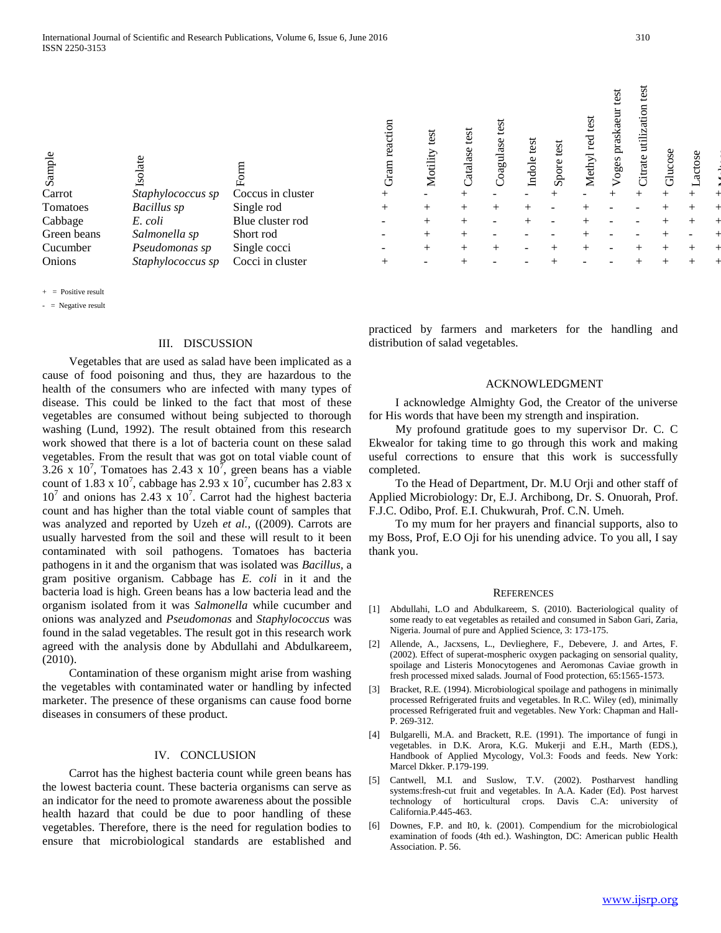Sample

+ = Positive result

- = Negative result

#### III. DISCUSSION

 Vegetables that are used as salad have been implicated as a cause of food poisoning and thus, they are hazardous to the health of the consumers who are infected with many types of disease. This could be linked to the fact that most of these vegetables are consumed without being subjected to thorough washing (Lund, 1992). The result obtained from this research work showed that there is a lot of bacteria count on these salad vegetables. From the result that was got on total viable count of 3.26 x 10<sup>7</sup>, Tomatoes has 2.43 x  $10^7$ , green beans has a viable count of 1.83 x  $10^7$ , cabbage has 2.93 x  $10^7$ , cucumber has 2.83 x  $10^7$  and onions has 2.43 x  $10^7$ . Carrot had the highest bacteria count and has higher than the total viable count of samples that was analyzed and reported by Uzeh *et al.,* ((2009). Carrots are usually harvested from the soil and these will result to it been contaminated with soil pathogens. Tomatoes has bacteria pathogens in it and the organism that was isolated was *Bacillus,* a gram positive organism. Cabbage has *E. coli* in it and the bacteria load is high. Green beans has a low bacteria lead and the organism isolated from it was *Salmonella* while cucumber and onions was analyzed and *Pseudomonas* and *Staphylococcus* was found in the salad vegetables. The result got in this research work agreed with the analysis done by Abdullahi and Abdulkareem*,*  (2010).

 Contamination of these organism might arise from washing the vegetables with contaminated water or handling by infected marketer. The presence of these organisms can cause food borne diseases in consumers of these product.

#### IV. CONCLUSION

 Carrot has the highest bacteria count while green beans has the lowest bacteria count. These bacteria organisms can serve as an indicator for the need to promote awareness about the possible health hazard that could be due to poor handling of these vegetables. Therefore, there is the need for regulation bodies to ensure that microbiological standards are established and

| Sample<br>Carrot | Isolate<br>Staphylococcus sp | Form<br>Coccus in cluster | reaction<br>Gram<br>$^{+}$ | test<br>Motility<br>- | test<br>Catalase<br>$^{+}$ | test<br>Coagulase | test<br>Indole | test<br>Spore | test<br>red<br>Methyl | test<br>praskae<br>oges | est<br>utiliz<br>Citrate | Glucose<br>$^+$ | actose |  |
|------------------|------------------------------|---------------------------|----------------------------|-----------------------|----------------------------|-------------------|----------------|---------------|-----------------------|-------------------------|--------------------------|-----------------|--------|--|
|                  |                              |                           |                            |                       |                            |                   |                |               |                       |                         |                          |                 |        |  |
| Tomatoes         | Bacillus sp                  | Single rod                | $^{+}$                     | $^{+}$                | $^{+}$                     |                   |                |               |                       |                         |                          |                 |        |  |
| Cabbage          | E. coli                      | Blue cluster rod          |                            | $^{+}$                | $^{+}$                     |                   |                |               |                       |                         |                          |                 |        |  |
| Green beans      | Salmonella sp                | Short rod                 |                            | $^{+}$                | $^{+}$                     |                   |                |               |                       |                         |                          |                 |        |  |
| Cucumber         | Pseudomonas sp               | Single cocci              |                            | $^{+}$                | $+$                        |                   |                |               |                       |                         |                          |                 |        |  |
| Onions           | Staphylococcus sp            | Cocci in cluster          | $^{+}$                     |                       |                            |                   |                |               |                       |                         |                          |                 |        |  |
|                  |                              |                           |                            |                       |                            |                   |                |               |                       |                         |                          |                 |        |  |

practiced by farmers and marketers for the handling and distribution of salad vegetables.

#### ACKNOWLEDGMENT

 I acknowledge Almighty God, the Creator of the universe for His words that have been my strength and inspiration.

 My profound gratitude goes to my supervisor Dr. C. C Ekwealor for taking time to go through this work and making useful corrections to ensure that this work is successfully completed.

 To the Head of Department, Dr. M.U Orji and other staff of Applied Microbiology: Dr, E.J. Archibong, Dr. S. Onuorah, Prof. F.J.C. Odibo, Prof. E.I. Chukwurah, Prof. C.N. Umeh.

 To my mum for her prayers and financial supports, also to my Boss, Prof, E.O Oji for his unending advice. To you all, I say thank you.

#### **REFERENCES**

- [1] Abdullahi, L.O and Abdulkareem, S. (2010). Bacteriological quality of some ready to eat vegetables as retailed and consumed in Sabon Gari, Zaria, Nigeria. Journal of pure and Applied Science, 3: 173-175.
- [2] Allende, A., Jacxsens, L., Devlieghere, F., Debevere, J. and Artes, F. (2002). Effect of superat-mospheric oxygen packaging on sensorial quality, spoilage and Listeris Monocytogenes and Aeromonas Caviae growth in fresh processed mixed salads. Journal of Food protection, 65:1565-1573.
- [3] Bracket, R.E. (1994). Microbiological spoilage and pathogens in minimally processed Refrigerated fruits and vegetables. In R.C. Wiley (ed), minimally processed Refrigerated fruit and vegetables. New York: Chapman and Hall-P. 269-312.
- [4] Bulgarelli, M.A. and Brackett, R.E. (1991). The importance of fungi in vegetables. in D.K. Arora, K.G. Mukerji and E.H., Marth (EDS.), Handbook of Applied Mycology, Vol.3: Foods and feeds. New York: Marcel Dkker. P.179-199.
- [5] Cantwell, M.I. and Suslow, T.V. (2002). Postharvest handling systems:fresh-cut fruit and vegetables. In A.A. Kader (Ed). Post harvest technology of horticultural crops. Davis C.A: university California.P.445-463.
- [6] Downes, F.P. and It0, k. (2001). Compendium for the microbiological examination of foods (4th ed.). Washington, DC: American public Health Association. P. 56.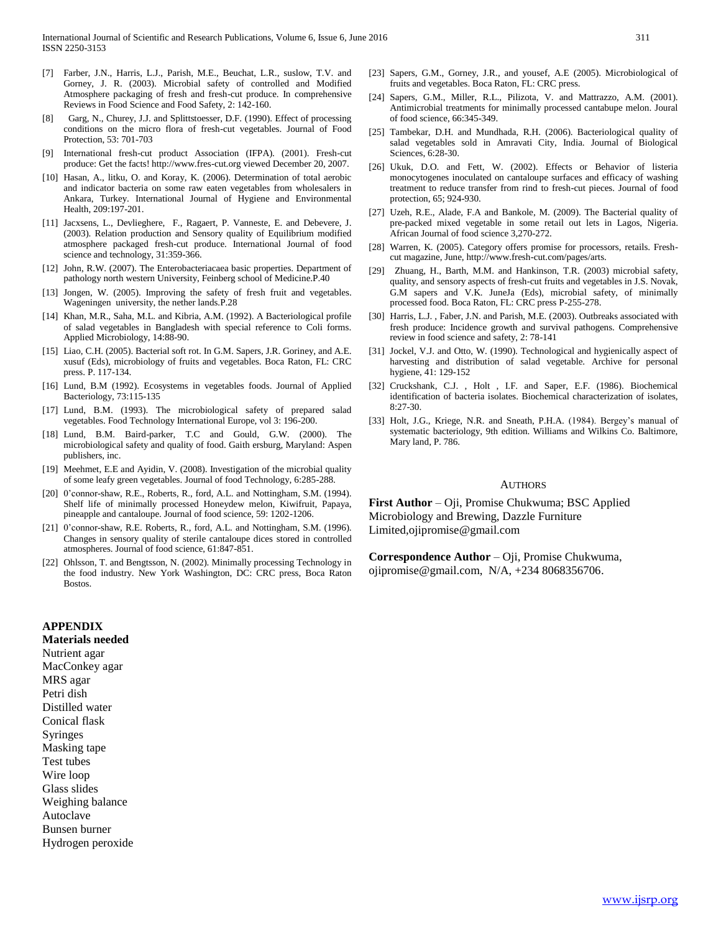- [7] Farber, J.N., Harris, L.J., Parish, M.E., Beuchat, L.R., suslow, T.V. and Gorney, J. R. (2003). Microbial safety of controlled and Modified Atmosphere packaging of fresh and fresh-cut produce. In comprehensive Reviews in Food Science and Food Safety, 2: 142-160.
- [8] Garg, N., Churey, J.J. and Splittstoesser, D.F. (1990). Effect of processing conditions on the micro flora of fresh-cut vegetables. Journal of Food Protection, 53: 701-703
- [9] International fresh-cut product Association (IFPA). (2001). Fresh-cut produce: Get the facts! http://www.fres-cut.org viewed December 20, 2007.
- [10] Hasan, A., litku, O. and Koray, K. (2006). Determination of total aerobic and indicator bacteria on some raw eaten vegetables from wholesalers in Ankara, Turkey. International Journal of Hygiene and Environmental Health, 209:197-201.
- [11] Jacxsens, L., Devlieghere, F., Ragaert, P. Vanneste, E. and Debevere, J. (2003). Relation production and Sensory quality of Equilibrium modified atmosphere packaged fresh-cut produce. International Journal of food science and technology, 31:359-366.
- [12] John, R.W. (2007). The Enterobacteriacaea basic properties. Department of pathology north western University, Feinberg school of Medicine.P.40
- [13] Jongen, W. (2005). Improving the safety of fresh fruit and vegetables. Wageningen university, the nether lands.P.28
- [14] Khan, M.R., Saha, M.L. and Kibria, A.M. (1992). A Bacteriological profile of salad vegetables in Bangladesh with special reference to Coli forms. Applied Microbiology, 14:88-90.
- [15] Liao, C.H. (2005). Bacterial soft rot. In G.M. Sapers, J.R. Goriney, and A.E. xusuf (Eds), microbiology of fruits and vegetables. Boca Raton, FL: CRC press. P. 117-134.
- [16] Lund, B.M (1992). Ecosystems in vegetables foods. Journal of Applied Bacteriology, 73:115-135
- [17] Lund, B.M. (1993). The microbiological safety of prepared salad vegetables. Food Technology International Europe, vol 3: 196-200.
- [18] Lund, B.M. Baird-parker, T.C and Gould, G.W. (2000). The microbiological safety and quality of food. Gaith ersburg, Maryland: Aspen publishers, inc.
- [19] Meehmet, E.E and Ayidin, V. (2008). Investigation of the microbial quality of some leafy green vegetables. Journal of food Technology, 6:285-288.
- [20] 0'connor-shaw, R.E., Roberts, R., ford, A.L. and Nottingham, S.M. (1994). Shelf life of minimally processed Honeydew melon, Kiwifruit, Papaya, pineapple and cantaloupe. Journal of food science, 59: 1202-1206.
- [21] 0'connor-shaw, R.E. Roberts, R., ford, A.L. and Nottingham, S.M. (1996). Changes in sensory quality of sterile cantaloupe dices stored in controlled atmospheres. Journal of food science, 61:847-851.
- [22] Ohlsson, T. and Bengtsson, N. (2002). Minimally processing Technology in the food industry. New York Washington, DC: CRC press, Boca Raton Bostos.

#### **APPENDIX**

#### **Materials needed**

Nutrient agar MacConkey agar MRS agar Petri dish Distilled water Conical flask Syringes Masking tape Test tubes Wire loop Glass slides Weighing balance Autoclave Bunsen burner Hydrogen peroxide

- [23] Sapers, G.M., Gorney, J.R., and yousef, A.E (2005). Microbiological of fruits and vegetables. Boca Raton, FL: CRC press.
- [24] Sapers, G.M., Miller, R.L., Pilizota, V. and Mattrazzo, A.M. (2001). Antimicrobial treatments for minimally processed cantabupe melon. Joural of food science, 66:345-349.
- [25] Tambekar, D.H. and Mundhada, R.H. (2006). Bacteriological quality of salad vegetables sold in Amravati City, India. Journal of Biological Sciences, 6:28-30.
- [26] Ukuk, D.O. and Fett, W. (2002). Effects or Behavior of listeria monocytogenes inoculated on cantaloupe surfaces and efficacy of washing treatment to reduce transfer from rind to fresh-cut pieces. Journal of food protection, 65; 924-930.
- [27] Uzeh, R.E., Alade, F.A and Bankole, M. (2009). The Bacterial quality of pre-packed mixed vegetable in some retail out lets in Lagos, Nigeria. African Journal of food science 3,270-272.
- [28] Warren, K. (2005). Category offers promise for processors, retails. Freshcut magazine, June, http://www.fresh-cut.com/pages/arts.
- [29] Zhuang, H., Barth, M.M. and Hankinson, T.R. (2003) microbial safety, quality, and sensory aspects of fresh-cut fruits and vegetables in J.S. Novak, G.M sapers and V.K. JuneJa (Eds), microbial safety, of minimally processed food. Boca Raton, FL: CRC press P-255-278.
- [30] Harris, L.J., Faber, J.N. and Parish, M.E. (2003). Outbreaks associated with fresh produce: Incidence growth and survival pathogens. Comprehensive review in food science and safety, 2: 78-141
- [31] Jockel, V.J. and Otto, W. (1990). Technological and hygienically aspect of harvesting and distribution of salad vegetable. Archive for personal hygiene, 41: 129-152
- [32] Cruckshank, C.J. , Holt , I.F. and Saper, E.F. (1986). Biochemical identification of bacteria isolates. Biochemical characterization of isolates, 8:27-30.
- [33] Holt, J.G., Kriege, N.R. and Sneath, P.H.A. (1984). Bergey's manual of systematic bacteriology, 9th edition. Williams and Wilkins Co. Baltimore, Mary land, P. 786.

#### AUTHORS

**First Author** – Oji, Promise Chukwuma; BSC Applied Microbiology and Brewing, Dazzle Furniture Limited,ojipromise@gmail.com

**Correspondence Author** – Oji, Promise Chukwuma, ojipromise@gmail.com, N/A, +234 8068356706.